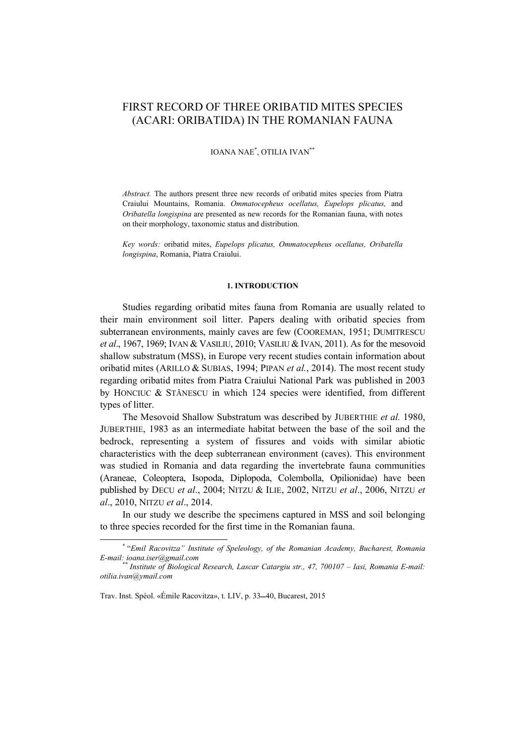# FIRST RECORD OF THREE ORIBATID MITES SPECIES (ACARI: ORIBATIDA) IN THE ROMANIAN FAUNA

# IOANA NAE\* , OTILIA IVAN\*\*

*Abstract.* The authors present three new records of oribatid mites species from Piatra Craiului Mountains, Romania. *Ommatocepheus ocellatus, Eupelops plicatus,* and *Oribatella longispina* are presented as new records for the Romanian fauna, with notes on their morphology, taxonomic status and distribution.

*Key words:* oribatid mites, *Eupelops plicatus, Ommatocepheus ocellatus, Oribatella longispina*, Romania, Piatra Craiului.

# **1. INTRODUCTION**

Studies regarding oribatid mites fauna from Romania are usually related to their main environment soil litter. Papers dealing with oribatid species from subterranean environments, mainly caves are few (COOREMAN, 1951; DUMITRESCU *et al*., 1967, 1969; IVAN & VASILIU, 2010; VASILIU & IVAN, 2011). As for the mesovoid shallow substratum (MSS), in Europe very recent studies contain information about oribatid mites (ARILLO & SUBIAS, 1994; PIPAN *et al.*, 2014). The most recent study regarding oribatid mites from Piatra Craiului National Park was published in 2003 by HONCIUC & STĂNESCU in which 124 species were identified, from different types of litter.

The Mesovoid Shallow Substratum was described by JUBERTHIE *et al.* 1980, JUBERTHIE, 1983 as an intermediate habitat between the base of the soil and the bedrock, representing a system of fissures and voids with similar abiotic characteristics with the deep subterranean environment (caves). This environment was studied in Romania and data regarding the invertebrate fauna communities (Araneae, Coleoptera, Isopoda, Diplopoda, Colembolla, Opilionidae) have been published by DECU *et al*., 2004; NITZU & ILIE, 2002, NITZU *et al*., 2006, NITZU *et al*., 2010, NITZU *et al*., 2014.

In our study we describe the specimens captured in MSS and soil belonging to three species recorded for the first time in the Romanian fauna.

 <sup>\*</sup> "*Emil Racovitza" Institute of Speleology, of the Romanian Academy, Bucharest, Romania E-mail: ioana.iser@gmail.com* \*\* *Institute of Biological Research, Lascar Catargiu str., 47, 700107 – Iasi, Romania E-mail:* 

*otilia.ivan@ymail.com* 

Trav. Inst. Spéol. «Émile Racovitza», t. LIV, p. 33-40, Bucarest, 2015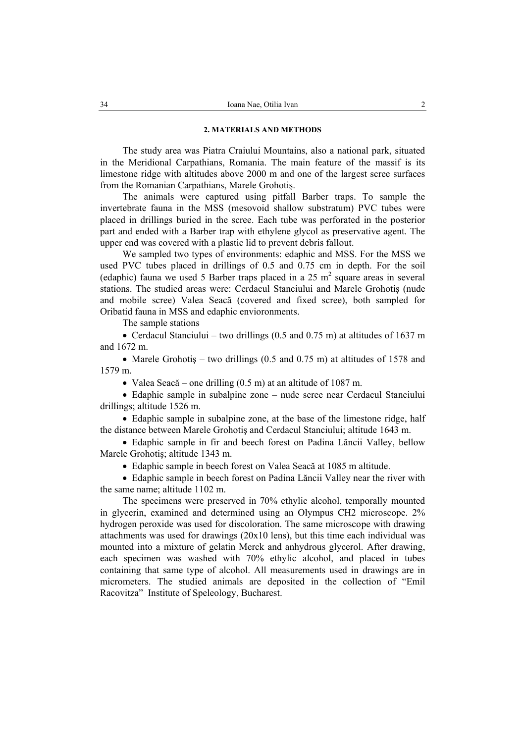### **2. MATERIALS AND METHODS**

The study area was Piatra Craiului Mountains, also a national park, situated in the Meridional Carpathians, Romania. The main feature of the massif is its limestone ridge with altitudes above 2000 m and one of the largest scree surfaces from the Romanian Carpathians, Marele Grohotiş.

The animals were captured using pitfall Barber traps. To sample the invertebrate fauna in the MSS (mesovoid shallow substratum) PVC tubes were placed in drillings buried in the scree. Each tube was perforated in the posterior part and ended with a Barber trap with ethylene glycol as preservative agent. The upper end was covered with a plastic lid to prevent debris fallout.

We sampled two types of environments: edaphic and MSS. For the MSS we used PVC tubes placed in drillings of 0.5 and 0.75 cm in depth. For the soil (edaphic) fauna we used 5 Barber traps placed in a 25  $m<sup>2</sup>$  square areas in several stations. The studied areas were: Cerdacul Stanciului and Marele Grohotiş (nude and mobile scree) Valea Seacă (covered and fixed scree), both sampled for Oribatid fauna in MSS and edaphic envioronments.

The sample stations

• Cerdacul Stanciului – two drillings (0.5 and 0.75 m) at altitudes of 1637 m and 1672 m.

• Marele Grohotis – two drillings (0.5 and 0.75 m) at altitudes of 1578 and 1579 m.

• Valea Seacă – one drilling (0.5 m) at an altitude of 1087 m.

• Edaphic sample in subalpine zone – nude scree near Cerdacul Stanciului drillings; altitude 1526 m.

• Edaphic sample in subalpine zone, at the base of the limestone ridge, half the distance between Marele Grohotiş and Cerdacul Stanciului; altitude 1643 m.

• Edaphic sample in fir and beech forest on Padina Lăncii Valley, bellow Marele Grohotiş; altitude 1343 m.

• Edaphic sample in beech forest on Valea Seacă at 1085 m altitude.

• Edaphic sample in beech forest on Padina Lăncii Valley near the river with the same name; altitude 1102 m.

The specimens were preserved in 70% ethylic alcohol, temporally mounted in glycerin, examined and determined using an Olympus CH2 microscope. 2% hydrogen peroxide was used for discoloration. The same microscope with drawing attachments was used for drawings (20x10 lens), but this time each individual was mounted into a mixture of gelatin Merck and anhydrous glycerol. After drawing, each specimen was washed with 70% ethylic alcohol, and placed in tubes containing that same type of alcohol. All measurements used in drawings are in micrometers. The studied animals are deposited in the collection of "Emil Racovitza" Institute of Speleology, Bucharest.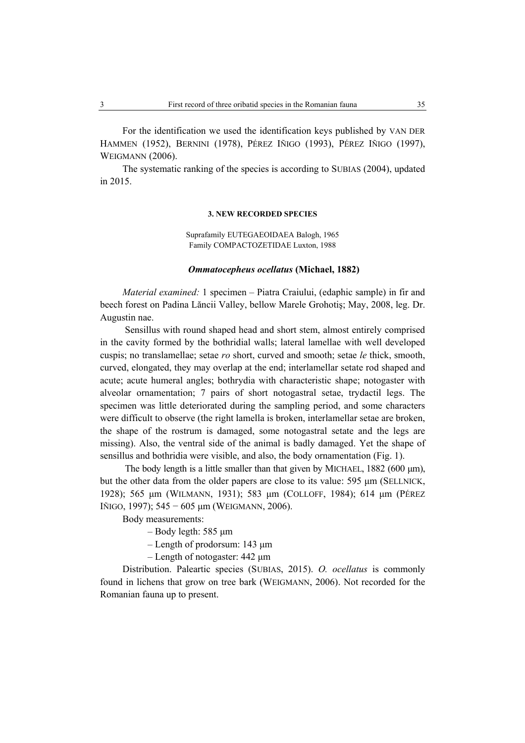For the identification we used the identification keys published by VAN DER HAMMEN (1952), BERNINI (1978), PÉREZ IÑIGO (1993), PÉREZ IÑIGO (1997), WEIGMANN (2006).

The systematic ranking of the species is according to SUBIAS (2004), updated in 2015.

#### **3. NEW RECORDED SPECIES**

Suprafamily EUTEGAEOIDAEA Balogh, 1965 Family COMPACTOZETIDAE Luxton, 1988

### *Ommatocepheus ocellatus* **(Michael, 1882)**

*Material examined:* 1 specimen – Piatra Craiului, (edaphic sample) in fir and beech forest on Padina Lăncii Valley, bellow Marele Grohotiş; May, 2008, leg. Dr. Augustin nae.

 Sensillus with round shaped head and short stem, almost entirely comprised in the cavity formed by the bothridial walls; lateral lamellae with well developed cuspis; no translamellae; setae *ro* short, curved and smooth; setae *le* thick, smooth, curved, elongated, they may overlap at the end; interlamellar setate rod shaped and acute; acute humeral angles; bothrydia with characteristic shape; notogaster with alveolar ornamentation; 7 pairs of short notogastral setae, trydactil legs. The specimen was little deteriorated during the sampling period, and some characters were difficult to observe (the right lamella is broken, interlamellar setae are broken, the shape of the rostrum is damaged, some notogastral setate and the legs are missing). Also, the ventral side of the animal is badly damaged. Yet the shape of sensillus and bothridia were visible, and also, the body ornamentation (Fig. 1).

The body length is a little smaller than that given by MICHAEL, 1882 (600 µm), but the other data from the older papers are close to its value: 595 µm (SELLNICK, 1928); 565 µm (WILMANN, 1931); 583 µm (COLLOFF, 1984); 614 µm (PÉREZ IÑIGO, 1997); 545 − 605 µm (WEIGMANN, 2006).

Body measurements:

 $-$  Body legth: 585  $\mu$ m

– Length of prodorsum: 143 µm

– Length of notogaster: 442 µm

Distribution. Paleartic species (SUBIAS, 2015). *O. ocellatus* is commonly found in lichens that grow on tree bark (WEIGMANN, 2006). Not recorded for the Romanian fauna up to present.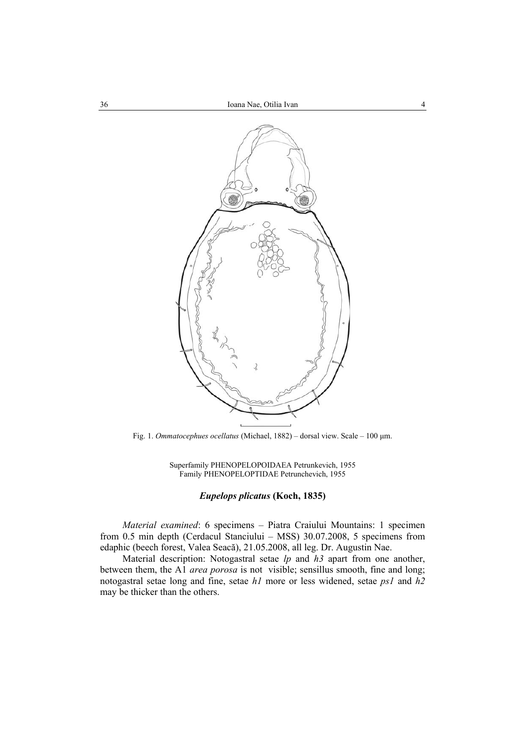

Fig. 1. *Ommatocephues ocellatus* (Michael, 1882) – dorsal view. Scale – 100 µm.

Superfamily PHENOPELOPOIDAEA Petrunkevich, 1955 Family PHENOPELOPTIDAE Petrunchevich, 1955

# *Eupelops plicatus* **(Koch, 1835)**

*Material examined*: 6 specimens – Piatra Craiului Mountains: 1 specimen from 0.5 min depth (Cerdacul Stanciului – MSS) 30.07.2008, 5 specimens from edaphic (beech forest, Valea Seacă), 21.05.2008, all leg. Dr. Augustin Nae.

Material description: Notogastral setae *lp* and *h3* apart from one another, between them, the A1 *area porosa* is not visible; sensillus smooth, fine and long; notogastral setae long and fine, setae *h1* more or less widened, setae *ps1* and *h2* may be thicker than the others.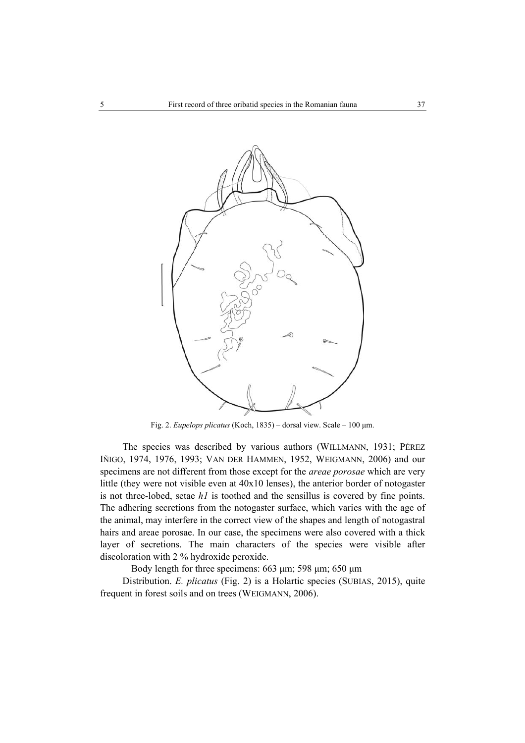

Fig. 2. *Eupelops plicatus* (Koch, 1835) – dorsal view. Scale – 100 µm.

The species was described by various authors (WILLMANN, 1931; PÉREZ IÑIGO, 1974, 1976, 1993; VAN DER HAMMEN, 1952, WEIGMANN, 2006) and our specimens are not different from those except for the *areae porosae* which are very little (they were not visible even at 40x10 lenses), the anterior border of notogaster is not three-lobed, setae *h1* is toothed and the sensillus is covered by fine points. The adhering secretions from the notogaster surface, which varies with the age of the animal, may interfere in the correct view of the shapes and length of notogastral hairs and areae porosae. In our case, the specimens were also covered with a thick layer of secretions. The main characters of the species were visible after discoloration with 2 % hydroxide peroxide.

Body length for three specimens:  $663 \mu m$ ; 598  $\mu m$ ; 650  $\mu m$ 

Distribution. *E. plicatus* (Fig. 2) is a Holartic species (SUBIAS, 2015), quite frequent in forest soils and on trees (WEIGMANN, 2006).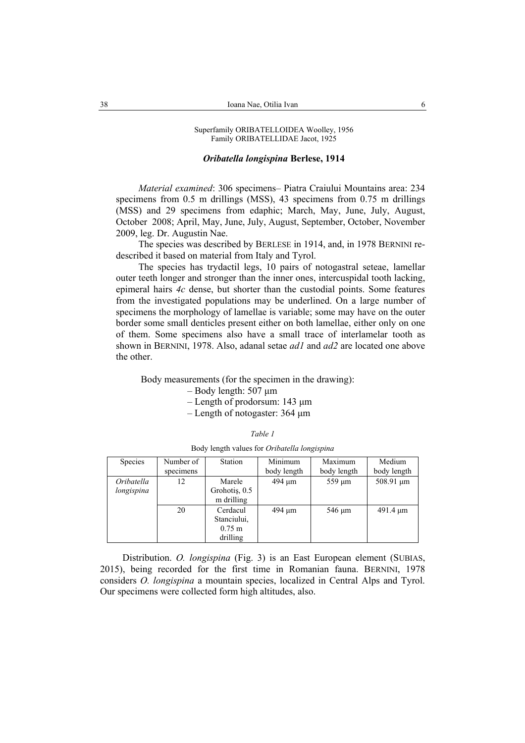# *Oribatella longispina* **Berlese, 1914**

*Material examined*: 306 specimens– Piatra Craiului Mountains area: 234 specimens from 0.5 m drillings (MSS), 43 specimens from 0.75 m drillings (MSS) and 29 specimens from edaphic; March, May, June, July, August, October 2008; April, May, June, July, August, September, October, November 2009, leg. Dr. Augustin Nae.

The species was described by BERLESE in 1914, and, in 1978 BERNINI redescribed it based on material from Italy and Tyrol.

The species has trydactil legs, 10 pairs of notogastral seteae, lamellar outer teeth longer and stronger than the inner ones, intercuspidal tooth lacking, epimeral hairs *4c* dense, but shorter than the custodial points. Some features from the investigated populations may be underlined. On a large number of specimens the morphology of lamellae is variable; some may have on the outer border some small denticles present either on both lamellae, either only on one of them. Some specimens also have a small trace of interlamelar tooth as shown in BERNINI, 1978. Also, adanal setae *ad1* and *ad2* are located one above the other.

Body measurements (for the specimen in the drawing):

- $-$  Body length: 507  $\mu$ m
- Length of prodorsum: 143 µm
- Length of notogaster: 364 µm

| "<br>ar |  |
|---------|--|
|         |  |

Body length values for *Oribatella longispina* 

| <b>Species</b> | Number of | Station          | Minimum     | Maximum     | Medium        |
|----------------|-----------|------------------|-------------|-------------|---------------|
|                | specimens |                  | body length | body length | body length   |
| Oribatella     | 12        | Marele           | 494 um      | 559 um      | 508.91 µm     |
| longispina     |           | Grohotiş, 0.5    |             |             |               |
|                |           | m drilling       |             |             |               |
|                | 20        | Cerdacul         | $494 \mu m$ | 546 um      | $491.4 \mu m$ |
|                |           | Stanciului,      |             |             |               |
|                |           | $0.75 \text{ m}$ |             |             |               |
|                |           | drilling         |             |             |               |

Distribution. *O. longispina* (Fig. 3) is an East European element (SUBIAS, 2015), being recorded for the first time in Romanian fauna. BERNINI, 1978 considers *O. longispina* a mountain species, localized in Central Alps and Tyrol. Our specimens were collected form high altitudes, also.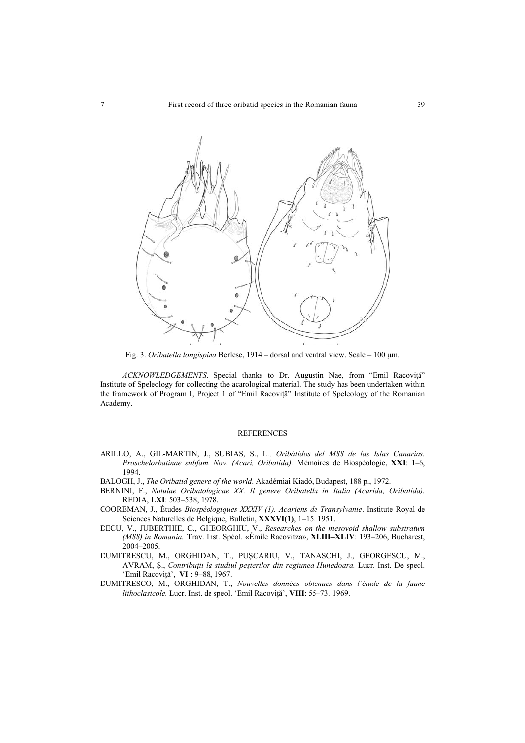

Fig. 3. *Oribatella longispina* Berlese, 1914 – dorsal and ventral view. Scale – 100 µm.

*ACKNOWLEDGEMENTS*. Special thanks to Dr. Augustin Nae, from "Emil Racoviță" Institute of Speleology for collecting the acarological material. The study has been undertaken within the framework of Program I, Project 1 of "Emil Racoviţă" Institute of Speleology of the Romanian Academy.

#### REFERENCES

- ARILLO, A., GIL-MARTIN, J., SUBIAS, S., L*., Oribátidos del MSS de las Islas Canarias. Proschelorbatinae subfam. Nov. (Acari, Oribatida).* Mémoires de Biospéologie, **XXI**: 1–6, 1994.
- BALOGH, J., *The Oribatid genera of the world*. Akadémiai Kiadó, Budapest, 188 p., 1972.
- BERNINI, F., *Notulae Oribatologicae XX. Il genere Oribatella in Italia (Acarida, Oribatida).* REDIA, **LXI**: 503–538, 1978.
- COOREMAN, J., Études *Biospéologiques XXXIV (1). Acariens de Transylvanie*. Institute Royal de Sciences Naturelles de Belgique, Bulletin, **XXXVI(1)**, 1–15. 1951.
- DECU, V., JUBERTHIE, C., GHEORGHIU, V., *Researches on the mesovoid shallow substratum (MSS) in Romania.* Trav. Inst. Spéol. «Émile Racovitza», **XLIII–XLIV**: 193–206, Bucharest, 2004–2005.
- DUMITRESCU, M., ORGHIDAN, T., PUŞCARIU, V., TANASCHI, J., GEORGESCU, M., AVRAM, Ş., *Contribuţii la studiul peşterilor din regiunea Hunedoara.* Lucr. Inst. De speol. 'Emil Racoviţă', **VI** : 9–88, 1967.
- DUMITRESCO, M., ORGHIDAN, T., *Nouvelles données obtenues dans l`étude de la faune lithoclasicole.* Lucr. Inst. de speol. 'Emil Racoviţă', **VIII**: 55–73. 1969.